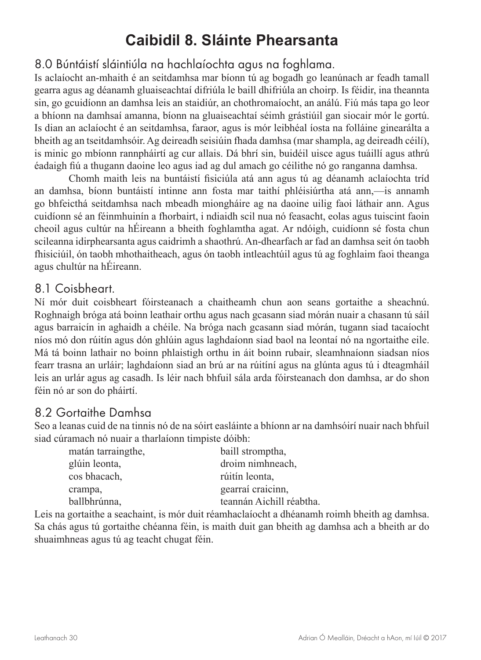## **Caibidil 8. Sláinte Phearsanta**

## 8.0 Búntáistí sláintiúla na hachlaíochta agus na foghlama.

Is aclaíocht an-mhaith é an seitdamhsa mar bíonn tú ag bogadh go leanúnach ar feadh tamall gearra agus ag déanamh gluaiseachtaí difriúla le baill dhifriúla an choirp. Is féidir, ina theannta sin, go gcuidíonn an damhsa leis an staidiúr, an chothromaíocht, an análú. Fiú más tapa go leor a bhíonn na damhsaí amanna, bíonn na gluaiseachtaí séimh grástiúil gan siocair mór le gortú. Is dian an aclaíocht é an seitdamhsa, faraor, agus is mór leibhéal íosta na folláine ginearálta a bheith ag an tseitdamhsóir. Ag deireadh seisiúin fhada damhsa (mar shampla, ag deireadh céilí), is minic go mbíonn rannpháirtí ag cur allais. Dá bhrí sin, buidéil uisce agus tuáillí agus athrú éadaigh fiú a thugann daoine leo agus iad ag dul amach go céilithe nó go ranganna damhsa.

Chomh maith leis na buntáistí fisiciúla atá ann agus tú ag déanamh aclaíochta tríd an damhsa, bíonn buntáistí intinne ann fosta mar taithí phléisiúrtha atá ann,—is annamh go bhfeicthá seitdamhsa nach mbeadh miongháire ag na daoine uilig faoi láthair ann. Agus cuidíonn sé an féinmhuinín a fhorbairt, i ndiaidh scil nua nó feasacht, eolas agus tuiscint faoin cheoil agus cultúr na hÉireann a bheith foghlamtha agat. Ar ndóigh, cuidíonn sé fosta chun scileanna idirphearsanta agus caidrimh a shaothrú. An-dhearfach ar fad an damhsa seit ón taobh fhisiciúil, ón taobh mhothaitheach, agus ón taobh intleachtúil agus tú ag foghlaim faoi theanga agus chultúr na hÉireann.

## 8.1 Coisbheart.

Ní mór duit coisbheart fóirsteanach a chaitheamh chun aon seans gortaithe a sheachnú. Roghnaigh bróga atá boinn leathair orthu agus nach gcasann siad mórán nuair a chasann tú sáil agus barraicín in aghaidh a chéile. Na bróga nach gcasann siad mórán, tugann siad tacaíocht níos mó don rúitín agus dón ghlúin agus laghdaíonn siad baol na leontaí nó na ngortaithe eile. Má tá boinn lathair no boinn phlaistigh orthu in áit boinn rubair, sleamhnaíonn siadsan níos fearr trasna an urláir; laghdaíonn siad an brú ar na rúitíní agus na glúnta agus tú i dteagmháil leis an urlár agus ag casadh. Is léir nach bhfuil sála arda fóirsteanach don damhsa, ar do shon féin nó ar son do pháirtí.

## 8.2 Gortaithe Damhsa

Seo a leanas cuid de na tinnis nó de na sóirt easláinte a bhíonn ar na damhsóirí nuair nach bhfuil siad cúramach nó nuair a tharlaíonn timpiste dóibh:

| matán tarraingthe, | baill stromptha,         |
|--------------------|--------------------------|
| glúin leonta,      | droim nimhneach,         |
| cos bhacach,       | rúitín leonta,           |
| crampa,            | gearraí craicinn,        |
| ballbhrúnna,       | teannán Aichill réabtha. |
|                    |                          |

Leis na gortaithe a seachaint, is mór duit réamhaclaíocht a dhéanamh roimh bheith ag damhsa. Sa chás agus tú gortaithe chéanna féin, is maith duit gan bheith ag damhsa ach a bheith ar do shuaimhneas agus tú ag teacht chugat féin.